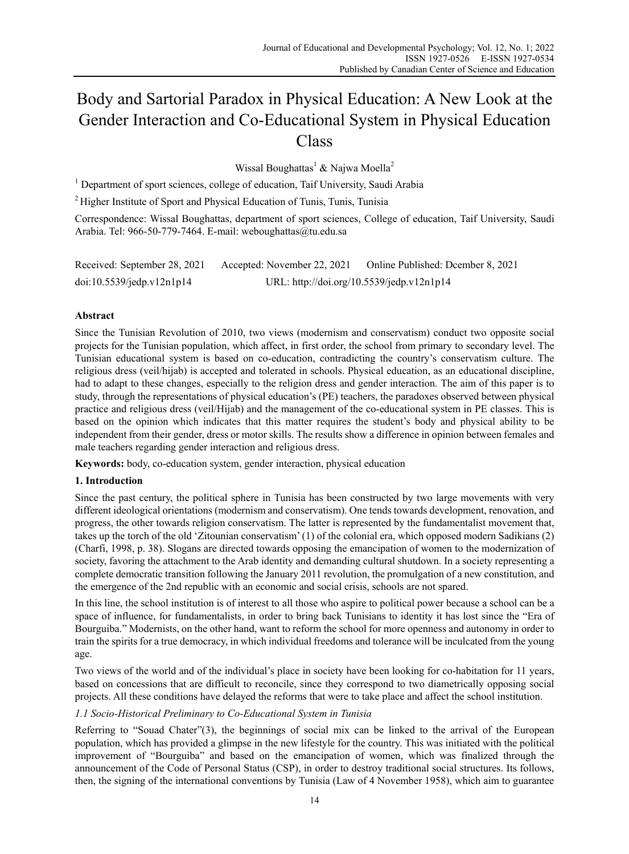# Body and Sartorial Paradox in Physical Education: A New Look at the Gender Interaction and Co-Educational System in Physical Education Class

Wissal Boughattas<sup>1</sup> & Najwa Moella<sup>2</sup>

<sup>1</sup> Department of sport sciences, college of education, Taif University, Saudi Arabia

<sup>2</sup> Higher Institute of Sport and Physical Education of Tunis, Tunis, Tunisia

Correspondence: Wissal Boughattas, department of sport sciences, College of education, Taif University, Saudi Arabia. Tel: 966-50-779-7464. E-mail: weboughattas@tu.edu.sa

| Received: September 28, 2021 | Accepted: November 22, 2021               | Online Published: Dcember 8, 2021 |
|------------------------------|-------------------------------------------|-----------------------------------|
| doi:10.5539/jedp.v12n1p14    | URL: http://doi.org/10.5539/jedp.v12n1p14 |                                   |

# **Abstract**

Since the Tunisian Revolution of 2010, two views (modernism and conservatism) conduct two opposite social projects for the Tunisian population, which affect, in first order, the school from primary to secondary level. The Tunisian educational system is based on co-education, contradicting the country's conservatism culture. The religious dress (veil/hijab) is accepted and tolerated in schools. Physical education, as an educational discipline, had to adapt to these changes, especially to the religion dress and gender interaction. The aim of this paper is to study, through the representations of physical education's (PE) teachers, the paradoxes observed between physical practice and religious dress (veil/Hijab) and the management of the co-educational system in PE classes. This is based on the opinion which indicates that this matter requires the student's body and physical ability to be independent from their gender, dress or motor skills. The results show a difference in opinion between females and male teachers regarding gender interaction and religious dress.

**Keywords:** body, co-education system, gender interaction, physical education

# **1. Introduction**

Since the past century, the political sphere in Tunisia has been constructed by two large movements with very different ideological orientations (modernism and conservatism). One tends towards development, renovation, and progress, the other towards religion conservatism. The latter is represented by the fundamentalist movement that, takes up the torch of the old 'Zitounian conservatism' (1) of the colonial era, which opposed modern Sadikians (2) (Charfi, 1998, p. 38). Slogans are directed towards opposing the emancipation of women to the modernization of society, favoring the attachment to the Arab identity and demanding cultural shutdown. In a society representing a complete democratic transition following the January 2011 revolution, the promulgation of a new constitution, and the emergence of the 2nd republic with an economic and social crisis, schools are not spared.

In this line, the school institution is of interest to all those who aspire to political power because a school can be a space of influence, for fundamentalists, in order to bring back Tunisians to identity it has lost since the "Era of Bourguiba." Modernists, on the other hand, want to reform the school for more openness and autonomy in order to train the spirits for a true democracy, in which individual freedoms and tolerance will be inculcated from the young age.

Two views of the world and of the individual's place in society have been looking for co-habitation for 11 years, based on concessions that are difficult to reconcile, since they correspond to two diametrically opposing social projects. All these conditions have delayed the reforms that were to take place and affect the school institution.

# *1.1 Socio-Historical Preliminary to Co-Educational System in Tunisia*

Referring to "Souad Chater"(3), the beginnings of social mix can be linked to the arrival of the European population, which has provided a glimpse in the new lifestyle for the country. This was initiated with the political improvement of "Bourguiba" and based on the emancipation of women, which was finalized through the announcement of the Code of Personal Status (CSP), in order to destroy traditional social structures. Its follows, then, the signing of the international conventions by Tunisia (Law of 4 November 1958), which aim to guarantee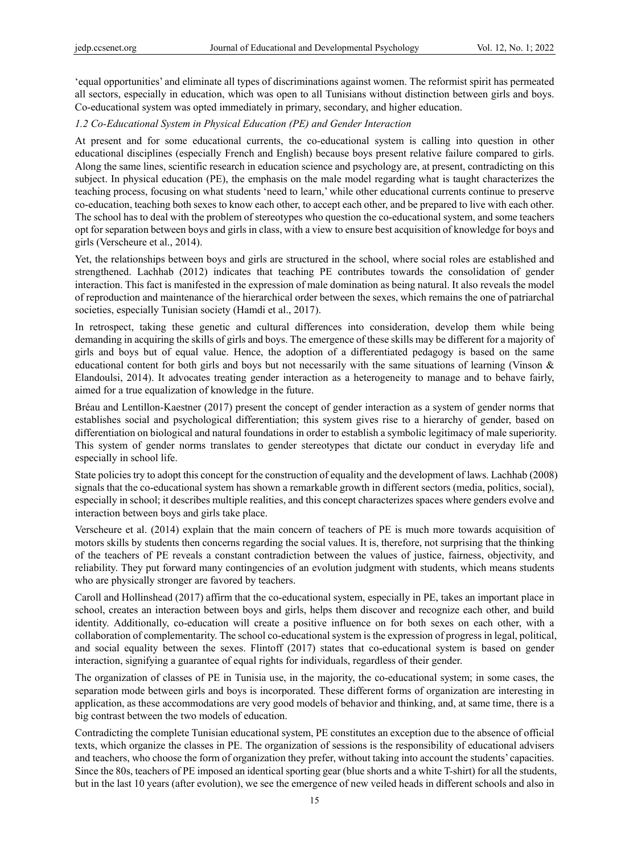'equal opportunities' and eliminate all types of discriminations against women. The reformist spirit has permeated all sectors, especially in education, which was open to all Tunisians without distinction between girls and boys. Co-educational system was opted immediately in primary, secondary, and higher education.

# *1.2 Co-Educational System in Physical Education (PE) and Gender Interaction*

At present and for some educational currents, the co-educational system is calling into question in other educational disciplines (especially French and English) because boys present relative failure compared to girls. Along the same lines, scientific research in education science and psychology are, at present, contradicting on this subject. In physical education (PE), the emphasis on the male model regarding what is taught characterizes the teaching process, focusing on what students 'need to learn,' while other educational currents continue to preserve co-education, teaching both sexes to know each other, to accept each other, and be prepared to live with each other. The school has to deal with the problem of stereotypes who question the co-educational system, and some teachers opt for separation between boys and girls in class, with a view to ensure best acquisition of knowledge for boys and girls (Verscheure et al., 2014).

Yet, the relationships between boys and girls are structured in the school, where social roles are established and strengthened. Lachhab (2012) indicates that teaching PE contributes towards the consolidation of gender interaction. This fact is manifested in the expression of male domination as being natural. It also reveals the model of reproduction and maintenance of the hierarchical order between the sexes, which remains the one of patriarchal societies, especially Tunisian society (Hamdi et al., 2017).

In retrospect, taking these genetic and cultural differences into consideration, develop them while being demanding in acquiring the skills of girls and boys. The emergence of these skills may be different for a majority of girls and boys but of equal value. Hence, the adoption of a differentiated pedagogy is based on the same educational content for both girls and boys but not necessarily with the same situations of learning (Vinson & Elandoulsi, 2014). It advocates treating gender interaction as a heterogeneity to manage and to behave fairly, aimed for a true equalization of knowledge in the future.

Bréau and Lentillon-Kaestner (2017) present the concept of gender interaction as a system of gender norms that establishes social and psychological differentiation; this system gives rise to a hierarchy of gender, based on differentiation on biological and natural foundations in order to establish a symbolic legitimacy of male superiority. This system of gender norms translates to gender stereotypes that dictate our conduct in everyday life and especially in school life.

State policies try to adopt this concept for the construction of equality and the development of laws. Lachhab (2008) signals that the co-educational system has shown a remarkable growth in different sectors (media, politics, social), especially in school; it describes multiple realities, and this concept characterizes spaces where genders evolve and interaction between boys and girls take place.

Verscheure et al. (2014) explain that the main concern of teachers of PE is much more towards acquisition of motors skills by students then concerns regarding the social values. It is, therefore, not surprising that the thinking of the teachers of PE reveals a constant contradiction between the values of justice, fairness, objectivity, and reliability. They put forward many contingencies of an evolution judgment with students, which means students who are physically stronger are favored by teachers.

Caroll and Hollinshead (2017) affirm that the co-educational system, especially in PE, takes an important place in school, creates an interaction between boys and girls, helps them discover and recognize each other, and build identity. Additionally, co-education will create a positive influence on for both sexes on each other, with a collaboration of complementarity. The school co-educational system is the expression of progress in legal, political, and social equality between the sexes. Flintoff (2017) states that co-educational system is based on gender interaction, signifying a guarantee of equal rights for individuals, regardless of their gender.

The organization of classes of PE in Tunisia use, in the majority, the co-educational system; in some cases, the separation mode between girls and boys is incorporated. These different forms of organization are interesting in application, as these accommodations are very good models of behavior and thinking, and, at same time, there is a big contrast between the two models of education.

Contradicting the complete Tunisian educational system, PE constitutes an exception due to the absence of official texts, which organize the classes in PE. The organization of sessions is the responsibility of educational advisers and teachers, who choose the form of organization they prefer, without taking into account the students' capacities. Since the 80s, teachers of PE imposed an identical sporting gear (blue shorts and a white T-shirt) for all the students, but in the last 10 years (after evolution), we see the emergence of new veiled heads in different schools and also in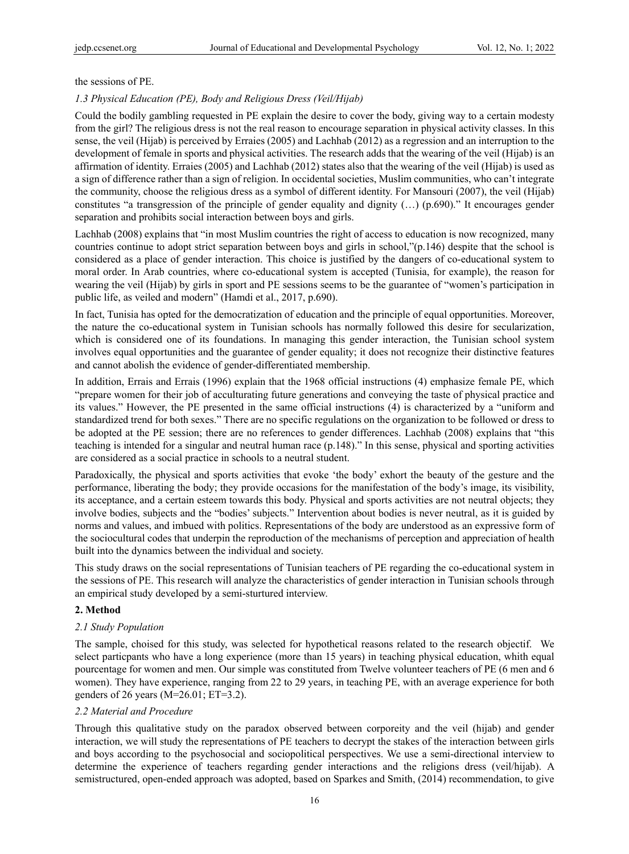the sessions of PE.

### *1.3 Physical Education (PE), Body and Religious Dress (Veil/Hijab)*

Could the bodily gambling requested in PE explain the desire to cover the body, giving way to a certain modesty from the girl? The religious dress is not the real reason to encourage separation in physical activity classes. In this sense, the veil (Hijab) is perceived by Erraies (2005) and Lachhab (2012) as a regression and an interruption to the development of female in sports and physical activities. The research adds that the wearing of the veil (Hijab) is an affirmation of identity. Erraies (2005) and Lachhab (2012) states also that the wearing of the veil (Hijab) is used as a sign of difference rather than a sign of religion. In occidental societies, Muslim communities, who can't integrate the community, choose the religious dress as a symbol of different identity. For Mansouri (2007), the veil (Hijab) constitutes "a transgression of the principle of gender equality and dignity (…) (p.690)." It encourages gender separation and prohibits social interaction between boys and girls.

Lachhab (2008) explains that "in most Muslim countries the right of access to education is now recognized, many countries continue to adopt strict separation between boys and girls in school,"(p.146) despite that the school is considered as a place of gender interaction. This choice is justified by the dangers of co-educational system to moral order. In Arab countries, where co-educational system is accepted (Tunisia, for example), the reason for wearing the veil (Hijab) by girls in sport and PE sessions seems to be the guarantee of "women's participation in public life, as veiled and modern" (Hamdi et al., 2017, p.690).

In fact, Tunisia has opted for the democratization of education and the principle of equal opportunities. Moreover, the nature the co-educational system in Tunisian schools has normally followed this desire for secularization, which is considered one of its foundations. In managing this gender interaction, the Tunisian school system involves equal opportunities and the guarantee of gender equality; it does not recognize their distinctive features and cannot abolish the evidence of gender-differentiated membership.

In addition, Errais and Errais (1996) explain that the 1968 official instructions (4) emphasize female PE, which "prepare women for their job of acculturating future generations and conveying the taste of physical practice and its values." However, the PE presented in the same official instructions (4) is characterized by a "uniform and standardized trend for both sexes." There are no specific regulations on the organization to be followed or dress to be adopted at the PE session; there are no references to gender differences. Lachhab (2008) explains that "this teaching is intended for a singular and neutral human race (p.148)." In this sense, physical and sporting activities are considered as a social practice in schools to a neutral student.

Paradoxically, the physical and sports activities that evoke 'the body' exhort the beauty of the gesture and the performance, liberating the body; they provide occasions for the manifestation of the body's image, its visibility, its acceptance, and a certain esteem towards this body. Physical and sports activities are not neutral objects; they involve bodies, subjects and the "bodies' subjects." Intervention about bodies is never neutral, as it is guided by norms and values, and imbued with politics. Representations of the body are understood as an expressive form of the sociocultural codes that underpin the reproduction of the mechanisms of perception and appreciation of health built into the dynamics between the individual and society.

This study draws on the social representations of Tunisian teachers of PE regarding the co-educational system in the sessions of PE. This research will analyze the characteristics of gender interaction in Tunisian schools through an empirical study developed by a semi-sturtured interview.

## **2. Method**

## *2.1 Study Population*

The sample, choised for this study, was selected for hypothetical reasons related to the research objectif. We select particpants who have a long experience (more than 15 years) in teaching physical education, whith equal pourcentage for women and men. Our simple was constituted from Twelve volunteer teachers of PE (6 men and 6 women). They have experience, ranging from 22 to 29 years, in teaching PE, with an average experience for both genders of 26 years (M=26.01; ET=3.2).

# *2.2 Material and Procedure*

Through this qualitative study on the paradox observed between corporeity and the veil (hijab) and gender interaction, we will study the representations of PE teachers to decrypt the stakes of the interaction between girls and boys according to the psychosocial and sociopolitical perspectives. We use a semi-directional interview to determine the experience of teachers regarding gender interactions and the religions dress (veil/hijab). A semistructured, open-ended approach was adopted, based on Sparkes and Smith, (2014) recommendation, to give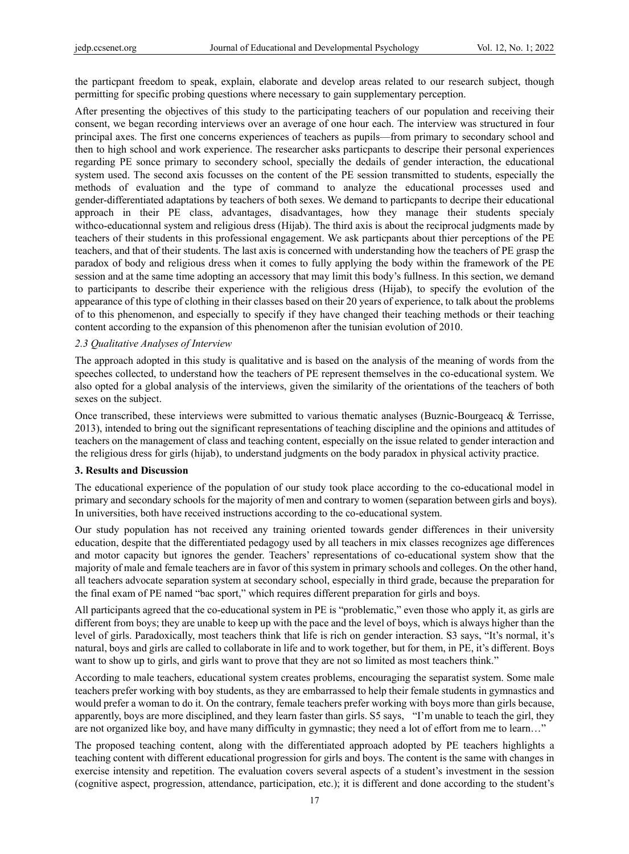the particpant freedom to speak, explain, elaborate and develop areas related to our research subject, though permitting for specific probing questions where necessary to gain supplementary perception.

After presenting the objectives of this study to the participating teachers of our population and receiving their consent, we began recording interviews over an average of one hour each. The interview was structured in four principal axes. The first one concerns experiences of teachers as pupils—from primary to secondary school and then to high school and work experience. The researcher asks particpants to descripe their personal experiences regarding PE sonce primary to secondery school, specially the dedails of gender interaction, the educational system used. The second axis focusses on the content of the PE session transmitted to students, especially the methods of evaluation and the type of command to analyze the educational processes used and gender-differentiated adaptations by teachers of both sexes. We demand to particpants to decripe their educational approach in their PE class, advantages, disadvantages, how they manage their students specialy withco-educationnal system and religious dress (Hijab). The third axis is about the reciprocal judgments made by teachers of their students in this professional engagement. We ask particpants about thier perceptions of the PE teachers, and that of their students. The last axis is concerned with understanding how the teachers of PE grasp the paradox of body and religious dress when it comes to fully applying the body within the framework of the PE session and at the same time adopting an accessory that may limit this body's fullness. In this section, we demand to participants to describe their experience with the religious dress (Hijab), to specify the evolution of the appearance of this type of clothing in their classes based on their 20 years of experience, to talk about the problems of to this phenomenon, and especially to specify if they have changed their teaching methods or their teaching content according to the expansion of this phenomenon after the tunisian evolution of 2010.

#### *2.3 Qualitative Analyses of Interview*

The approach adopted in this study is qualitative and is based on the analysis of the meaning of words from the speeches collected, to understand how the teachers of PE represent themselves in the co-educational system. We also opted for a global analysis of the interviews, given the similarity of the orientations of the teachers of both sexes on the subject.

Once transcribed, these interviews were submitted to various thematic analyses (Buznic-Bourgeacq & Terrisse, 2013), intended to bring out the significant representations of teaching discipline and the opinions and attitudes of teachers on the management of class and teaching content, especially on the issue related to gender interaction and the religious dress for girls (hijab), to understand judgments on the body paradox in physical activity practice.

# **3. Results and Discussion**

The educational experience of the population of our study took place according to the co-educational model in primary and secondary schools for the majority of men and contrary to women (separation between girls and boys). In universities, both have received instructions according to the co-educational system.

Our study population has not received any training oriented towards gender differences in their university education, despite that the differentiated pedagogy used by all teachers in mix classes recognizes age differences and motor capacity but ignores the gender. Teachers' representations of co-educational system show that the majority of male and female teachers are in favor of this system in primary schools and colleges. On the other hand, all teachers advocate separation system at secondary school, especially in third grade, because the preparation for the final exam of PE named "bac sport," which requires different preparation for girls and boys.

All participants agreed that the co-educational system in PE is "problematic," even those who apply it, as girls are different from boys; they are unable to keep up with the pace and the level of boys, which is always higher than the level of girls. Paradoxically, most teachers think that life is rich on gender interaction. S3 says, "It's normal, it's natural, boys and girls are called to collaborate in life and to work together, but for them, in PE, it's different. Boys want to show up to girls, and girls want to prove that they are not so limited as most teachers think."

According to male teachers, educational system creates problems, encouraging the separatist system. Some male teachers prefer working with boy students, as they are embarrassed to help their female students in gymnastics and would prefer a woman to do it. On the contrary, female teachers prefer working with boys more than girls because, apparently, boys are more disciplined, and they learn faster than girls. S5 says, "I'm unable to teach the girl, they are not organized like boy, and have many difficulty in gymnastic; they need a lot of effort from me to learn…"

The proposed teaching content, along with the differentiated approach adopted by PE teachers highlights a teaching content with different educational progression for girls and boys. The content is the same with changes in exercise intensity and repetition. The evaluation covers several aspects of a student's investment in the session (cognitive aspect, progression, attendance, participation, etc.); it is different and done according to the student's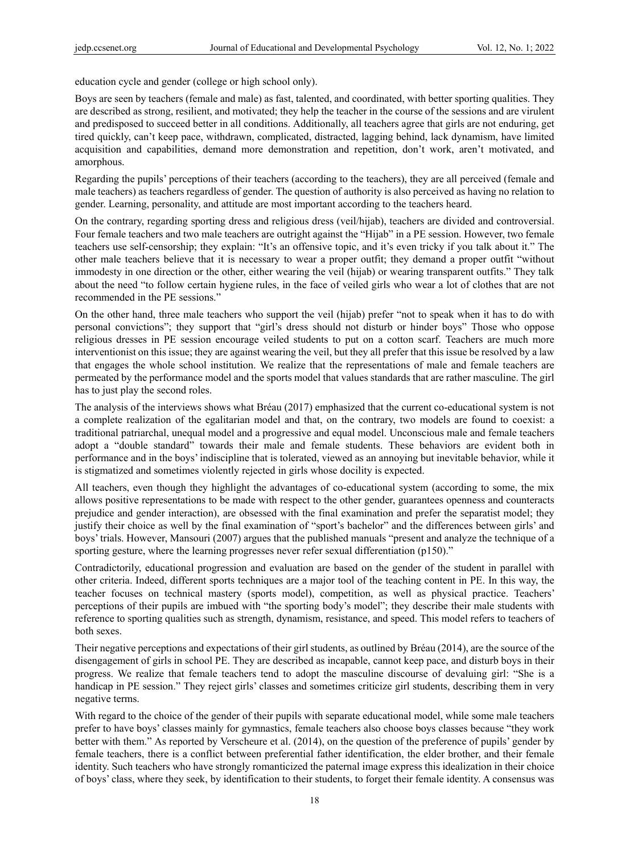education cycle and gender (college or high school only).

Boys are seen by teachers (female and male) as fast, talented, and coordinated, with better sporting qualities. They are described as strong, resilient, and motivated; they help the teacher in the course of the sessions and are virulent and predisposed to succeed better in all conditions. Additionally, all teachers agree that girls are not enduring, get tired quickly, can't keep pace, withdrawn, complicated, distracted, lagging behind, lack dynamism, have limited acquisition and capabilities, demand more demonstration and repetition, don't work, aren't motivated, and amorphous.

Regarding the pupils' perceptions of their teachers (according to the teachers), they are all perceived (female and male teachers) as teachers regardless of gender. The question of authority is also perceived as having no relation to gender. Learning, personality, and attitude are most important according to the teachers heard.

On the contrary, regarding sporting dress and religious dress (veil/hijab), teachers are divided and controversial. Four female teachers and two male teachers are outright against the "Hijab" in a PE session. However, two female teachers use self-censorship; they explain: "It's an offensive topic, and it's even tricky if you talk about it." The other male teachers believe that it is necessary to wear a proper outfit; they demand a proper outfit "without immodesty in one direction or the other, either wearing the veil (hijab) or wearing transparent outfits." They talk about the need "to follow certain hygiene rules, in the face of veiled girls who wear a lot of clothes that are not recommended in the PE sessions."

On the other hand, three male teachers who support the veil (hijab) prefer "not to speak when it has to do with personal convictions"; they support that "girl's dress should not disturb or hinder boys" Those who oppose religious dresses in PE session encourage veiled students to put on a cotton scarf. Teachers are much more interventionist on this issue; they are against wearing the veil, but they all prefer that this issue be resolved by a law that engages the whole school institution. We realize that the representations of male and female teachers are permeated by the performance model and the sports model that values standards that are rather masculine. The girl has to just play the second roles.

The analysis of the interviews shows what Bréau (2017) emphasized that the current co-educational system is not a complete realization of the egalitarian model and that, on the contrary, two models are found to coexist: a traditional patriarchal, unequal model and a progressive and equal model. Unconscious male and female teachers adopt a "double standard" towards their male and female students. These behaviors are evident both in performance and in the boys' indiscipline that is tolerated, viewed as an annoying but inevitable behavior, while it is stigmatized and sometimes violently rejected in girls whose docility is expected.

All teachers, even though they highlight the advantages of co-educational system (according to some, the mix allows positive representations to be made with respect to the other gender, guarantees openness and counteracts prejudice and gender interaction), are obsessed with the final examination and prefer the separatist model; they justify their choice as well by the final examination of "sport's bachelor" and the differences between girls' and boys' trials. However, Mansouri (2007) argues that the published manuals "present and analyze the technique of a sporting gesture, where the learning progresses never refer sexual differentiation (p150)."

Contradictorily, educational progression and evaluation are based on the gender of the student in parallel with other criteria. Indeed, different sports techniques are a major tool of the teaching content in PE. In this way, the teacher focuses on technical mastery (sports model), competition, as well as physical practice. Teachers' perceptions of their pupils are imbued with "the sporting body's model"; they describe their male students with reference to sporting qualities such as strength, dynamism, resistance, and speed. This model refers to teachers of both sexes.

Their negative perceptions and expectations of their girl students, as outlined by Bréau (2014), are the source of the disengagement of girls in school PE. They are described as incapable, cannot keep pace, and disturb boys in their progress. We realize that female teachers tend to adopt the masculine discourse of devaluing girl: "She is a handicap in PE session." They reject girls' classes and sometimes criticize girl students, describing them in very negative terms.

With regard to the choice of the gender of their pupils with separate educational model, while some male teachers prefer to have boys' classes mainly for gymnastics, female teachers also choose boys classes because "they work better with them." As reported by Verscheure et al. (2014), on the question of the preference of pupils' gender by female teachers, there is a conflict between preferential father identification, the elder brother, and their female identity. Such teachers who have strongly romanticized the paternal image express this idealization in their choice of boys' class, where they seek, by identification to their students, to forget their female identity. A consensus was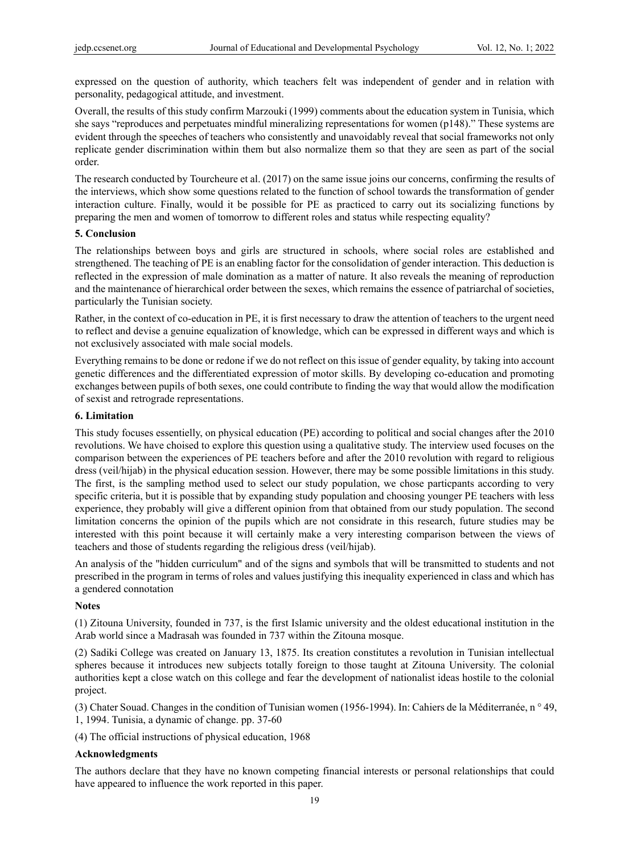expressed on the question of authority, which teachers felt was independent of gender and in relation with personality, pedagogical attitude, and investment.

Overall, the results of this study confirm Marzouki (1999) comments about the education system in Tunisia, which she says "reproduces and perpetuates mindful mineralizing representations for women (p148)." These systems are evident through the speeches of teachers who consistently and unavoidably reveal that social frameworks not only replicate gender discrimination within them but also normalize them so that they are seen as part of the social order.

The research conducted by Tourcheure et al. (2017) on the same issue joins our concerns, confirming the results of the interviews, which show some questions related to the function of school towards the transformation of gender interaction culture. Finally, would it be possible for PE as practiced to carry out its socializing functions by preparing the men and women of tomorrow to different roles and status while respecting equality?

# **5. Conclusion**

The relationships between boys and girls are structured in schools, where social roles are established and strengthened. The teaching of PE is an enabling factor for the consolidation of gender interaction. This deduction is reflected in the expression of male domination as a matter of nature. It also reveals the meaning of reproduction and the maintenance of hierarchical order between the sexes, which remains the essence of patriarchal of societies, particularly the Tunisian society.

Rather, in the context of co-education in PE, it is first necessary to draw the attention of teachers to the urgent need to reflect and devise a genuine equalization of knowledge, which can be expressed in different ways and which is not exclusively associated with male social models.

Everything remains to be done or redone if we do not reflect on this issue of gender equality, by taking into account genetic differences and the differentiated expression of motor skills. By developing co-education and promoting exchanges between pupils of both sexes, one could contribute to finding the way that would allow the modification of sexist and retrograde representations.

# **6. Limitation**

This study focuses essentielly, on physical education (PE) according to political and social changes after the 2010 revolutions. We have choised to explore this question using a qualitative study. The interview used focuses on the comparison between the experiences of PE teachers before and after the 2010 revolution with regard to religious dress (veil/hijab) in the physical education session. However, there may be some possible limitations in this study. The first, is the sampling method used to select our study population, we chose particpants according to very specific criteria, but it is possible that by expanding study population and choosing younger PE teachers with less experience, they probably will give a different opinion from that obtained from our study population. The second limitation concerns the opinion of the pupils which are not considrate in this research, future studies may be interested with this point because it will certainly make a very interesting comparison between the views of teachers and those of students regarding the religious dress (veil/hijab).

An analysis of the "hidden curriculum" and of the signs and symbols that will be transmitted to students and not prescribed in the program in terms of roles and values justifying this inequality experienced in class and which has a gendered connotation

# **Notes**

(1) Zitouna University, founded in 737, is the first Islamic university and the oldest educational institution in the Arab world since a Madrasah was founded in 737 within the Zitouna mosque.

(2) Sadiki College was created on January 13, 1875. Its creation constitutes a revolution in Tunisian intellectual spheres because it introduces new subjects totally foreign to those taught at Zitouna University. The colonial authorities kept a close watch on this college and fear the development of nationalist ideas hostile to the colonial project.

(3) Chater Souad. Changes in the condition of Tunisian women (1956-1994). In: Cahiers de la Méditerranée, n ° 49, 1, 1994. Tunisia, a dynamic of change. pp. 37-60

(4) The official instructions of physical education, 1968

#### **Acknowledgments**

The authors declare that they have no known competing financial interests or personal relationships that could have appeared to influence the work reported in this paper.